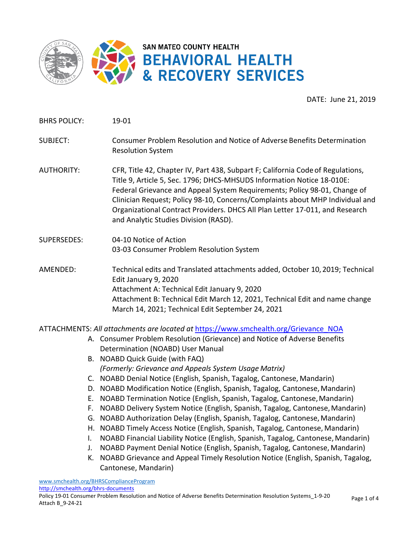

DATE: June 21, 2019

BHRS POLICY: 19-01

- SUBJECT: Consumer Problem Resolution and Notice of Adverse Benefits Determination Resolution System
- AUTHORITY: CFR, Title 42, Chapter IV, Part 438, Subpart F; California Code of Regulations, Title 9, Article 5, Sec. 1796; DHCS-MHSUDS Information Notice 18-010E: Federal Grievance and Appeal System Requirements; Policy 98-01, Change of Clinician Request; Policy 98-10, Concerns/Complaints about MHP Individual and Organizational Contract Providers. DHCS All Plan Letter 17-011, and Research and Analytic Studies Division (RASD).
- SUPERSEDES: 04-10 Notice of Action 03-03 Consumer Problem Resolution System
- AMENDED: Technical edits and Translated attachments added, October 10, 2019; Technical Edit January 9, 2020 Attachment A: Technical Edit January 9, 2020 Attachment B: Technical Edit March 12, 2021, Technical Edit and name change March 14, 2021; Technical Edit September 24, 2021

ATTACHMENTS: *All attachments are located at*[https://www.smchealth.org/Grievance\\_NOA](https://www.smchealth.org/Grievance_NOA)

- A. Consumer Problem Resolution (Grievance) and Notice of Adverse Benefits Determination (NOABD) User Manual
- B. NOABD Quick Guide (with FAQ) *(Formerly: Grievance and Appeals System Usage Matrix)*
- C. NOABD Denial Notice (English, Spanish, Tagalog, Cantonese, Mandarin)
- D. NOABD Modification Notice (English, Spanish, Tagalog, Cantonese,Mandarin)
- E. NOABD Termination Notice (English, Spanish, Tagalog, Cantonese,Mandarin)
- F. NOABD Delivery System Notice (English, Spanish, Tagalog, Cantonese,Mandarin)
- G. NOABD Authorization Delay (English, Spanish, Tagalog, Cantonese,Mandarin)
- H. NOABD Timely Access Notice (English, Spanish, Tagalog, Cantonese, Mandarin)
- I. NOABD Financial Liability Notice (English, Spanish, Tagalog, Cantonese,Mandarin)
- J. NOABD Payment Denial Notice (English, Spanish, Tagalog, Cantonese,Mandarin)
- K. NOABD Grievance and Appeal Timely Resolution Notice (English, Spanish, Tagalog, Cantonese, Mandarin)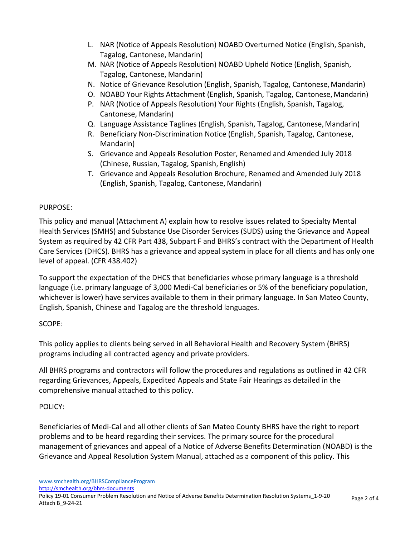- L. NAR (Notice of Appeals Resolution) NOABD Overturned Notice (English, Spanish, Tagalog, Cantonese, Mandarin)
- M. NAR (Notice of Appeals Resolution) NOABD Upheld Notice (English, Spanish, Tagalog, Cantonese, Mandarin)
- N. Notice of Grievance Resolution (English, Spanish, Tagalog, Cantonese,Mandarin)
- O. NOABD Your Rights Attachment (English, Spanish, Tagalog, Cantonese,Mandarin)
- P. NAR (Notice of Appeals Resolution) Your Rights (English, Spanish, Tagalog, Cantonese, Mandarin)
- Q. Language Assistance Taglines (English, Spanish, Tagalog, Cantonese,Mandarin)
- R. Beneficiary Non-Discrimination Notice (English, Spanish, Tagalog, Cantonese, Mandarin)
- S. Grievance and Appeals Resolution Poster, Renamed and Amended July 2018 (Chinese, Russian, Tagalog, Spanish, English)
- T. Grievance and Appeals Resolution Brochure, Renamed and Amended July 2018 (English, Spanish, Tagalog, Cantonese, Mandarin)

### PURPOSE:

This policy and manual (Attachment A) explain how to resolve issues related to Specialty Mental Health Services (SMHS) and Substance Use Disorder Services (SUDS) using the Grievance and Appeal System as required by 42 CFR Part 438, Subpart F and BHRS's contract with the Department of Health Care Services (DHCS). BHRS has a grievance and appeal system in place for all clients and has only one level of appeal. (CFR 438.402)

To support the expectation of the DHCS that beneficiaries whose primary language is a threshold language (i.e. primary language of 3,000 Medi-Cal beneficiaries or 5% of the beneficiary population, whichever is lower) have services available to them in their primary language. In San Mateo County, English, Spanish, Chinese and Tagalog are the threshold languages.

# SCOPE:

This policy applies to clients being served in all Behavioral Health and Recovery System (BHRS) programs including all contracted agency and private providers.

All BHRS programs and contractors will follow the procedures and regulations as outlined in 42 CFR regarding Grievances, Appeals, Expedited Appeals and State Fair Hearings as detailed in the comprehensive manual attached to this policy.

# POLICY:

Beneficiaries of Medi-Cal and all other clients of San Mateo County BHRS have the right to report problems and to be heard regarding their services. The primary source for the procedural management of grievances and appeal of a Notice of Adverse Benefits Determination (NOABD) is the Grievance and Appeal Resolution System Manual, attached as a component of this policy. This

[www.smchealth.org/BHRSComplianceProgram](http://www.smchealth.org/BHRSComplianceProgram)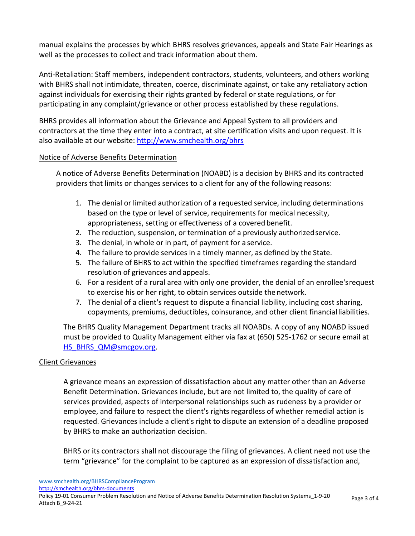manual explains the processes by which BHRS resolves grievances, appeals and State Fair Hearings as well as the processes to collect and track information about them.

Anti-Retaliation: Staff members, independent contractors, students, volunteers, and others working with BHRS shall not intimidate, threaten, coerce, discriminate against, or take any retaliatory action against individuals for exercising their rights granted by federal or state regulations, or for participating in any complaint/grievance or other process established by these regulations.

BHRS provides all information about the Grievance and Appeal System to all providers and contractors at the time they enter into a contract, at site certification visits and upon request. It is also available at our website:<http://www.smchealth.org/bhrs>

### Notice of Adverse Benefits Determination

A notice of Adverse Benefits Determination (NOABD) is a decision by BHRS and its contracted providers that limits or changes services to a client for any of the following reasons:

- 1. The denial or limited authorization of a requested service, including determinations based on the type or level of service, requirements for medical necessity, appropriateness, setting or effectiveness of a covered benefit.
- 2. The reduction, suspension, or termination of a previously authorized service.
- 3. The denial, in whole or in part, of [payment](https://www.law.cornell.edu/definitions/index.php?width=840&height=800&iframe=true&def_id=d66239b6cfc874cf42f9ff1eaaccf349&term_occur=2&term_src=Title%3A42%3AChapter%3AIV%3ASubchapter%3AC%3APart%3A438%3ASubpart%3AF%3A438.400) for a service.
- 4. The failure to provide services in a timely manner, as defined by the [State.](https://www.law.cornell.edu/definitions/index.php?width=840&height=800&iframe=true&def_id=ca92247e53beeed90570e93dd9ef3baa&term_occur=3&term_src=Title%3A42%3AChapter%3AIV%3ASubchapter%3AC%3APart%3A438%3ASubpart%3AF%3A438.400)
- 5. The failure of BHRS to [act](https://www.law.cornell.edu/definitions/index.php?width=840&height=800&iframe=true&def_id=3d07eea841654df2266f7a9fd3632f4c&term_occur=6&term_src=Title%3A42%3AChapter%3AIV%3ASubchapter%3AC%3APart%3A438%3ASubpart%3AF%3A438.400) within the specified timeframes regarding the standard resolution of [grievances](https://www.law.cornell.edu/definitions/index.php?width=840&height=800&iframe=true&def_id=3b0a2e73ccb28af32d7e4b1502dd72aa&term_occur=2&term_src=Title%3A42%3AChapter%3AIV%3ASubchapter%3AC%3APart%3A438%3ASubpart%3AF%3A438.400) and appeals.
- 6. For a resident of a rural [area](https://www.law.cornell.edu/definitions/index.php?width=840&height=800&iframe=true&def_id=d6b2c937e28f2e067f124bda4cfe0eb9&term_occur=1&term_src=Title%3A42%3AChapter%3AIV%3ASubchapter%3AC%3APart%3A438%3ASubpart%3AF%3A438.400) with only one [provider,](https://www.law.cornell.edu/definitions/index.php?width=840&height=800&iframe=true&def_id=1daf12b5f60f2d316a82cf2b0c33d729&term_occur=3&term_src=Title%3A42%3AChapter%3AIV%3ASubchapter%3AC%3APart%3A438%3ASubpart%3AF%3A438.400) the denial of an [enrollee'](https://www.law.cornell.edu/definitions/index.php?width=840&height=800&iframe=true&def_id=05539ddefc2d256d3e81e2d4e6e7c852&term_occur=1&term_src=Title%3A42%3AChapter%3AIV%3ASubchapter%3AC%3APart%3A438%3ASubpart%3AF%3A438.400)srequest to exercise his or her right, to obtain services outside the [network.](https://www.law.cornell.edu/definitions/index.php?width=840&height=800&iframe=true&def_id=80360f4a6529994d1999c43b2ca9249f&term_occur=1&term_src=Title%3A42%3AChapter%3AIV%3ASubchapter%3AC%3APart%3A438%3ASubpart%3AF%3A438.400)
- 7. The denial of a [client's](https://www.law.cornell.edu/definitions/index.php?width=840&height=800&iframe=true&def_id=05539ddefc2d256d3e81e2d4e6e7c852&term_occur=3&term_src=Title%3A42%3AChapter%3AIV%3ASubchapter%3AC%3APart%3A438%3ASubpart%3AF%3A438.400) request to dispute a financial liability, including cost sharing, copayments, premiums, deductibles, coinsurance, and other [client](https://www.law.cornell.edu/definitions/index.php?width=840&height=800&iframe=true&def_id=05539ddefc2d256d3e81e2d4e6e7c852&term_occur=2&term_src=Title%3A42%3AChapter%3AIV%3ASubchapter%3AC%3APart%3A438%3ASubpart%3AF%3A438.400) financial liabilities.

The BHRS Quality Management Department tracks all NOABDs. A copy of any NOABD issued must be provided to Quality Management either via fax at (650) 525-1762 or secure email at [HS\\_BHRS\\_QM@smcgov.org.](mailto:HS_BHRS_QM@smcgov.org)

### Client Grievances

A grievance means an expression of dissatisfaction about any matter other than an Adverse Benefit Determination. Grievances include, but are not limited to, the quality of care of services provided, aspects of interpersonal relationships such as rudeness by a [provider](https://www.law.cornell.edu/definitions/index.php?width=840&height=800&iframe=true&def_id=1a0ce7d7a3bfcb5dc5fe14032dc4305c&term_occur=1&term_src=Title%3A42%3AChapter%3AIV%3ASubchapter%3AC%3APart%3A438%3ASubpart%3AF%3A438.400) or employee, and failure to respect th[e client's](https://www.law.cornell.edu/definitions/index.php?width=840&height=800&iframe=true&def_id=05539ddefc2d256d3e81e2d4e6e7c852&term_occur=4&term_src=Title%3A42%3AChapter%3AIV%3ASubchapter%3AC%3APart%3A438%3ASubpart%3AF%3A438.400) rights regardless of whether remedial action is requested. [Grievances](https://www.law.cornell.edu/definitions/index.php?width=840&height=800&iframe=true&def_id=3b0a2e73ccb28af32d7e4b1502dd72aa&term_occur=4&term_src=Title%3A42%3AChapter%3AIV%3ASubchapter%3AC%3APart%3A438%3ASubpart%3AF%3A438.400) include a [client's](https://www.law.cornell.edu/definitions/index.php?width=840&height=800&iframe=true&def_id=05539ddefc2d256d3e81e2d4e6e7c852&term_occur=5&term_src=Title%3A42%3AChapter%3AIV%3ASubchapter%3AC%3APart%3A438%3ASubpart%3AF%3A438.400) right to dispute an extension of a deadline proposed by BHRS to make an authorization decision.

BHRS or its contractors shall not discourage the filing of grievances. A client need not use the term "grievance" for the complaint to be captured as an expression of dissatisfaction and,